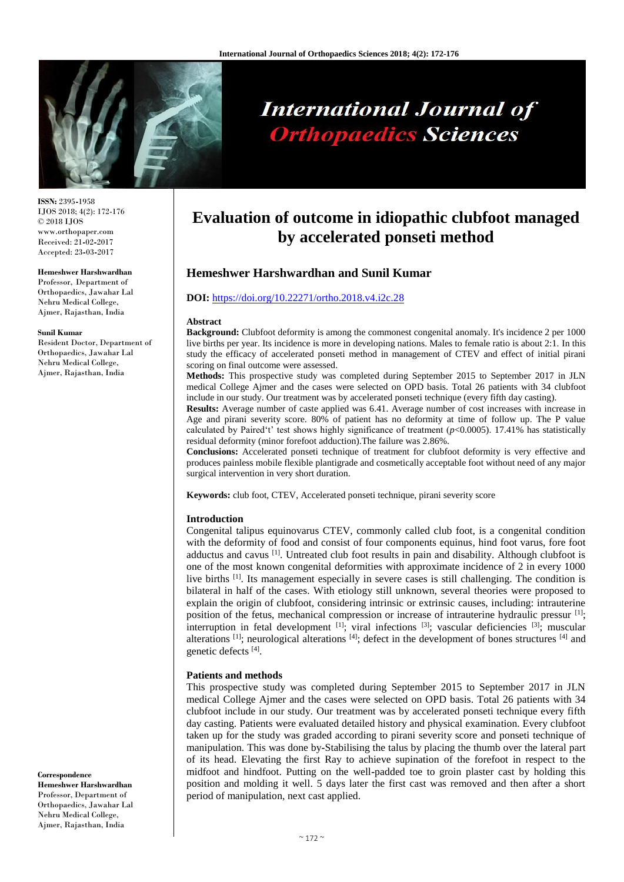

# **International Journal of Orthopaedics Sciences**

**ISSN:** 2395**-**1958 IJOS 2018; 4(2): 172-176 © 2018 IJOS www.orthopaper.com Received: 21**-**02**-**2017 Accepted: 23**-**03**-**2017

#### **Hemeshwer Harshwardhan**

Professor, Department of Orthopaedics, Jawahar Lal Nehru Medical College, Ajmer, Rajasthan, India

#### **Sunil Kumar**

Resident Doctor, Department of Orthopaedics, Jawahar Lal Nehru Medical College, Ajmer, Rajasthan, India

**Correspondence Hemeshwer Harshwardhan** Professor, Department of Orthopaedics, Jawahar Lal Nehru Medical College, Ajmer, Rajasthan, India

# **Evaluation of outcome in idiopathic clubfoot managed by accelerated ponseti method**

# **Hemeshwer Harshwardhan and Sunil Kumar**

# **DOI:** <https://doi.org/10.22271/ortho.2018.v4.i2c.28>

#### **Abstract**

**Background:** Clubfoot deformity is among the commonest congenital anomaly. It's incidence 2 per 1000 live births per year. Its incidence is more in developing nations. Males to female ratio is about 2:1. In this study the efficacy of accelerated ponseti method in management of CTEV and effect of initial pirani scoring on final outcome were assessed.

**Methods:** This prospective study was completed during September 2015 to September 2017 in JLN medical College Ajmer and the cases were selected on OPD basis. Total 26 patients with 34 clubfoot include in our study. Our treatment was by accelerated ponseti technique (every fifth day casting).

**Results:** Average number of caste applied was 6.41. Average number of cost increases with increase in Age and pirani severity score. 80% of patient has no deformity at time of follow up. The P value calculated by Paired't' test shows highly significance of treatment  $(p<0.0005)$ . 17.41% has statistically residual deformity (minor forefoot adduction).The failure was 2.86%.

**Conclusions:** Accelerated ponseti technique of treatment for clubfoot deformity is very effective and produces painless mobile flexible plantigrade and cosmetically acceptable foot without need of any major surgical intervention in very short duration.

**Keywords:** club foot, CTEV, Accelerated ponseti technique, pirani severity score

#### **Introduction**

Congenital talipus equinovarus CTEV, commonly called club foot, is a congenital condition with the deformity of food and consist of four components equinus, hind foot varus, fore foot adductus and cavus [1]. Untreated club foot results in pain and disability. Although clubfoot is one of the most known congenital deformities with approximate incidence of 2 in every 1000 live births <sup>[1]</sup>. Its management especially in severe cases is still challenging. The condition is bilateral in half of the cases. With etiology still unknown, several theories were proposed to explain the origin of clubfoot, considering intrinsic or extrinsic causes, including: intrauterine position of the fetus, mechanical compression or increase of intrauterine hydraulic pressur  $^{[1]}$ ; interruption in fetal development  $[1]$ ; viral infections  $[3]$ ; vascular deficiencies  $[3]$ ; muscular alterations  $[1]$ ; neurological alterations  $[4]$ ; defect in the development of bones structures  $[4]$  and genetic defects [4] .

#### **Patients and methods**

This prospective study was completed during September 2015 to September 2017 in JLN medical College Ajmer and the cases were selected on OPD basis. Total 26 patients with 34 clubfoot include in our study. Our treatment was by accelerated ponseti technique every fifth day casting. Patients were evaluated detailed history and physical examination. Every clubfoot taken up for the study was graded according to pirani severity score and ponseti technique of manipulation. This was done by**-**Stabilising the talus by placing the thumb over the lateral part of its head. Elevating the first Ray to achieve supination of the forefoot in respect to the midfoot and hindfoot. Putting on the well**-**padded toe to groin plaster cast by holding this position and molding it well. 5 days later the first cast was removed and then after a short period of manipulation, next cast applied.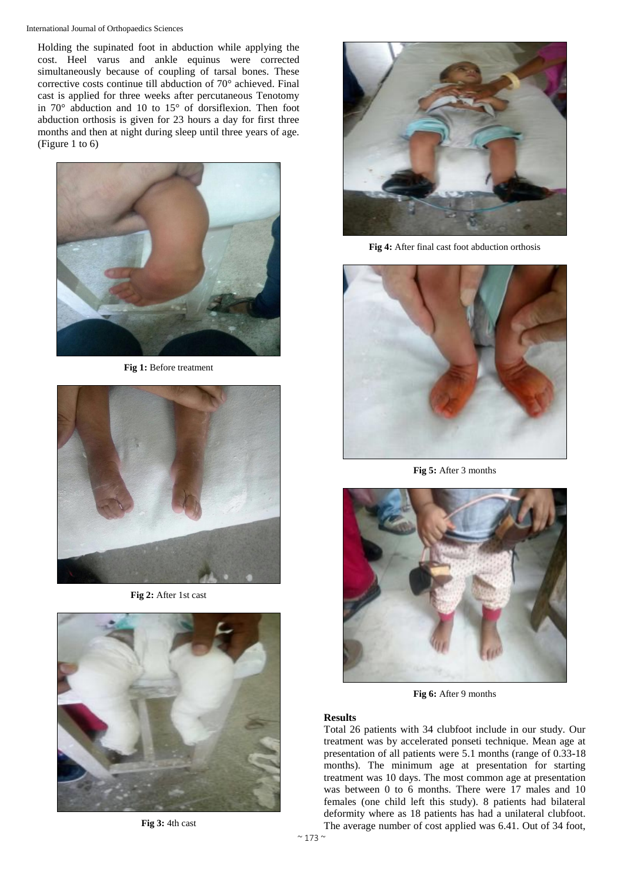International Journal of Orthopaedics Sciences

Holding the supinated foot in abduction while applying the cost. Heel varus and ankle equinus were corrected simultaneously because of coupling of tarsal bones. These corrective costs continue till abduction of 70° achieved. Final cast is applied for three weeks after percutaneous Tenotomy in 70° abduction and 10 to 15° of dorsiflexion. Then foot abduction orthosis is given for 23 hours a day for first three months and then at night during sleep until three years of age. (Figure 1 to 6)



**Fig 1:** Before treatment



**Fig 2:** After 1st cast



**Fig 3:** 4th cast



**Fig 4:** After final cast foot abduction orthosis



**Fig 5:** After 3 months



**Fig 6:** After 9 months

## **Results**

Total 26 patients with 34 clubfoot include in our study. Our treatment was by accelerated ponseti technique. Mean age at presentation of all patients were 5.1 months (range of 0.33**-**18 months). The minimum age at presentation for starting treatment was 10 days. The most common age at presentation was between 0 to 6 months. There were 17 males and 10 females (one child left this study). 8 patients had bilateral deformity where as 18 patients has had a unilateral clubfoot. The average number of cost applied was 6.41. Out of 34 foot,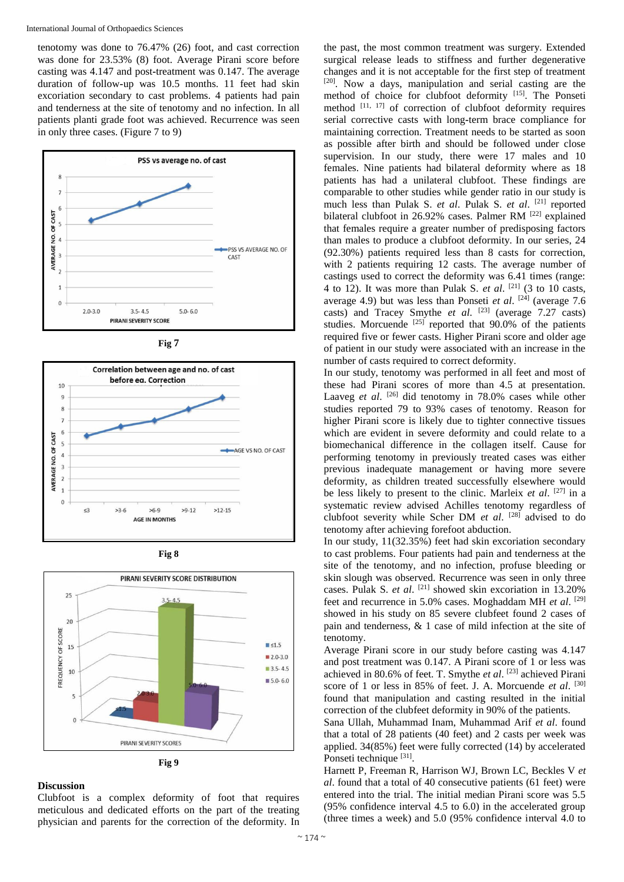tenotomy was done to 76.47% (26) foot, and cast correction was done for 23.53% (8) foot. Average Pirani score before casting was 4.147 and post**-**treatment was 0.147. The average duration of follow**-**up was 10.5 months. 11 feet had skin excoriation secondary to cast problems. 4 patients had pain and tenderness at the site of tenotomy and no infection. In all patients planti grade foot was achieved. Recurrence was seen in only three cases. (Figure 7 to 9)













Clubfoot is a complex deformity of foot that requires meticulous and dedicated efforts on the part of the treating physician and parents for the correction of the deformity. In

the past, the most common treatment was surgery. Extended surgical release leads to stiffness and further degenerative changes and it is not acceptable for the first step of treatment [20]. Now a days, manipulation and serial casting are the method of choice for clubfoot deformity [15]. The Ponseti method [11, 17] of correction of clubfoot deformity requires serial corrective casts with long**-**term brace compliance for maintaining correction. Treatment needs to be started as soon as possible after birth and should be followed under close supervision. In our study, there were 17 males and 10 females. Nine patients had bilateral deformity where as 18 patients has had a unilateral clubfoot. These findings are comparable to other studies while gender ratio in our study is much less than Pulak S. *et al*. Pulak S. *et al*. [21] reported bilateral clubfoot in 26.92% cases. Palmer RM <sup>[22]</sup> explained that females require a greater number of predisposing factors than males to produce a clubfoot deformity. In our series, 24 (92.30%) patients required less than 8 casts for correction, with 2 patients requiring 12 casts. The average number of castings used to correct the deformity was 6.41 times (range: 4 to 12). It was more than Pulak S. *et al.*  $[21]$  (3 to 10 casts, average 4.9) but was less than Ponseti *et al.* <sup>[24]</sup> (average 7.6 casts) and Tracey Smythe *et al.* <sup>[23]</sup> (average 7.27 casts) studies. Morcuende  $^{[25]}$  reported that 90.0% of the patients required five or fewer casts. Higher Pirani score and older age of patient in our study were associated with an increase in the number of casts required to correct deformity.

In our study, tenotomy was performed in all feet and most of these had Pirani scores of more than 4.5 at presentation. Laaveg *et al.* <sup>[26]</sup> did tenotomy in 78.0% cases while other studies reported 79 to 93% cases of tenotomy. Reason for higher Pirani score is likely due to tighter connective tissues which are evident in severe deformity and could relate to a biomechanical difference in the collagen itself. Cause for performing tenotomy in previously treated cases was either previous inadequate management or having more severe deformity, as children treated successfully elsewhere would be less likely to present to the clinic. Marleix *et al*. [27] in a systematic review advised Achilles tenotomy regardless of clubfoot severity while Scher DM *et al*. [28] advised to do tenotomy after achieving forefoot abduction.

In our study, 11(32.35%) feet had skin excoriation secondary to cast problems. Four patients had pain and tenderness at the site of the tenotomy, and no infection, profuse bleeding or skin slough was observed. Recurrence was seen in only three cases. Pulak S. *et al*. [21] showed skin excoriation in 13.20% feet and recurrence in 5.0% cases. Moghaddam MH et al. [29] showed in his study on 85 severe clubfeet found 2 cases of pain and tenderness, & 1 case of mild infection at the site of tenotomy.

Average Pirani score in our study before casting was 4.147 and post treatment was 0.147. A Pirani score of 1 or less was achieved in 80.6% of feet. T. Smythe *et al*. [23] achieved Pirani score of 1 or less in 85% of feet. J. A. Morcuende *et al*. [30] found that manipulation and casting resulted in the initial correction of the clubfeet deformity in 90% of the patients.

Sana Ullah, Muhammad Inam, Muhammad Arif *et al*. found that a total of 28 patients (40 feet) and 2 casts per week was applied. 34(85%) feet were fully corrected (14) by accelerated Ponseti technique [31].

Harnett P, Freeman R, Harrison WJ, Brown LC, Beckles V *et al*. found that a total of 40 consecutive patients (61 feet) were entered into the trial. The initial median Pirani score was 5.5 (95% confidence interval 4.5 to 6.0) in the accelerated group (three times a week) and 5.0 (95% confidence interval 4.0 to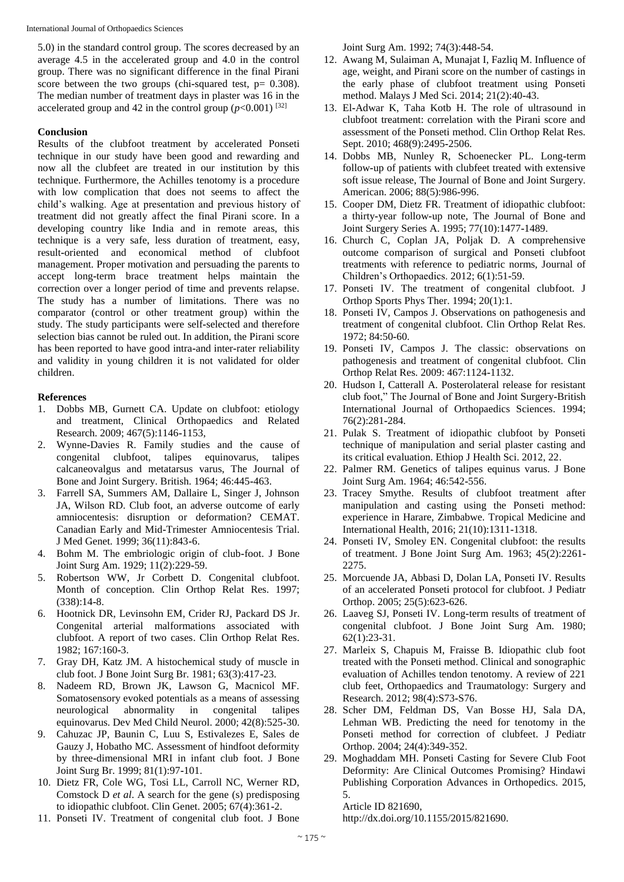International Journal of Orthopaedics Sciences

5.0) in the standard control group. The scores decreased by an average 4.5 in the accelerated group and 4.0 in the control group. There was no significant difference in the final Pirani score between the two groups (chi-squared test, p= 0.308). The median number of treatment days in plaster was 16 in the accelerated group and 42 in the control group  $(p<0.001)$  <sup>[32]</sup>

# **Conclusion**

Results of the clubfoot treatment by accelerated Ponseti technique in our study have been good and rewarding and now all the clubfeet are treated in our institution by this technique. Furthermore, the Achilles tenotomy is a procedure with low complication that does not seems to affect the child's walking. Age at presentation and previous history of treatment did not greatly affect the final Pirani score. In a developing country like India and in remote areas, this technique is a very safe, less duration of treatment, easy, result**-**oriented and economical method of clubfoot management. Proper motivation and persuading the parents to accept long**-**term brace treatment helps maintain the correction over a longer period of time and prevents relapse. The study has a number of limitations. There was no comparator (control or other treatment group) within the study. The study participants were self**-**selected and therefore selection bias cannot be ruled out. In addition, the Pirani score has been reported to have good intra**-**and inter**-**rater reliability and validity in young children it is not validated for older children.

### **References**

- 1. Dobbs MB, Gurnett CA. Update on clubfoot: etiology and treatment, Clinical Orthopaedics and Related Research. 2009; 467(5):1146**-**1153,
- 2. Wynne**-**Davies R. Family studies and the cause of congenital clubfoot, talipes equinovarus, talipes calcaneovalgus and metatarsus varus, The Journal of Bone and Joint Surgery. British. 1964; 46:445**-**463.
- 3. Farrell SA, Summers AM, Dallaire L, Singer J, Johnson JA, Wilson RD. Club foot, an adverse outcome of early amniocentesis: disruption or deformation? CEMAT. Canadian Early and Mid**-**Trimester Amniocentesis Trial. J Med Genet. 1999; 36(11):843**-**6.
- 4. Bohm M. The embriologic origin of club**-**foot. J Bone Joint Surg Am. 1929; 11(2):229**-**59.
- 5. Robertson WW, Jr Corbett D. Congenital clubfoot. Month of conception. Clin Orthop Relat Res. 1997; (338):14**-**8.
- 6. Hootnick DR, Levinsohn EM, Crider RJ, Packard DS Jr. Congenital arterial malformations associated with clubfoot. A report of two cases. Clin Orthop Relat Res. 1982; 167:160**-**3.
- 7. Gray DH, Katz JM. A histochemical study of muscle in club foot. J Bone Joint Surg Br. 1981; 63(3):417**-**23.
- 8. Nadeem RD, Brown JK, Lawson G, Macnicol MF. Somatosensory evoked potentials as a means of assessing neurological abnormality in congenital talipes equinovarus. Dev Med Child Neurol. 2000; 42(8):525**-**30.
- 9. Cahuzac JP, Baunin C, Luu S, Estivalezes E, Sales de Gauzy J, Hobatho MC. Assessment of hindfoot deformity by three**-**dimensional MRI in infant club foot. J Bone Joint Surg Br. 1999; 81(1):97**-**101.
- 10. Dietz FR, Cole WG, Tosi LL, Carroll NC, Werner RD, Comstock D *et al*. A search for the gene (s) predisposing to idiopathic clubfoot. Clin Genet. 2005; 67(4):361**-**2.
- 11. Ponseti IV. Treatment of congenital club foot. J Bone

Joint Surg Am. 1992; 74(3):448**-**54.

- 12. Awang M, Sulaiman A, Munajat I, Fazliq M. Influence of age, weight, and Pirani score on the number of castings in the early phase of clubfoot treatment using Ponseti method. Malays J Med Sci. 2014; 21(2):40**-**43.
- 13. El**-**Adwar K, Taha Kotb H. The role of ultrasound in clubfoot treatment: correlation with the Pirani score and assessment of the Ponseti method. Clin Orthop Relat Res. Sept. 2010; 468(9):2495**-**2506.
- 14. Dobbs MB, Nunley R, Schoenecker PL. Long**-**term follow**-**up of patients with clubfeet treated with extensive soft issue release, The Journal of Bone and Joint Surgery. American. 2006; 88(5):986**-**996.
- 15. Cooper DM, Dietz FR. Treatment of idiopathic clubfoot: a thirty**-**year follow**-**up note, The Journal of Bone and Joint Surgery Series A. 1995; 77(10):1477**-**1489.
- 16. Church C, Coplan JA, Poljak D. A comprehensive outcome comparison of surgical and Ponseti clubfoot treatments with reference to pediatric norms, Journal of Children's Orthopaedics. 2012; 6(1):51**-**59.
- 17. Ponseti IV. The treatment of congenital clubfoot. J Orthop Sports Phys Ther. 1994; 20(1):1.
- 18. Ponseti IV, Campos J. Observations on pathogenesis and treatment of congenital clubfoot. Clin Orthop Relat Res. 1972; 84:50**-**60.
- 19. Ponseti IV, Campos J. The classic: observations on pathogenesis and treatment of congenital clubfoot. Clin Orthop Relat Res. 2009: 467:1124**-**1132.
- 20. Hudson I, Catterall A. Posterolateral release for resistant club foot," The Journal of Bone and Joint Surgery**-**British International Journal of Orthopaedics Sciences. 1994; 76(2):281**-**284.
- 21. Pulak S. Treatment of idiopathic clubfoot by Ponseti technique of manipulation and serial plaster casting and its critical evaluation. Ethiop J Health Sci. 2012, 22.
- 22. Palmer RM. Genetics of talipes equinus varus. J Bone Joint Surg Am. 1964; 46:542**-**556.
- 23. Tracey Smythe. Results of clubfoot treatment after manipulation and casting using the Ponseti method: experience in Harare, Zimbabwe. Tropical Medicine and International Health, 2016; 21(10):1311**-**1318.
- 24. Ponseti IV, Smoley EN. Congenital clubfoot: the results of treatment. J Bone Joint Surg Am. 1963; 45(2):2261**-** 2275.
- 25. Morcuende JA, Abbasi D, Dolan LA, Ponseti IV. Results of an accelerated Ponseti protocol for clubfoot. J Pediatr Orthop. 2005; 25(5):623**-**626.
- 26. Laaveg SJ, Ponseti IV. Long**-**term results of treatment of congenital clubfoot. J Bone Joint Surg Am. 1980; 62(1):23**-**31.
- 27. Marleix S, Chapuis M, Fraisse B. Idiopathic club foot treated with the Ponseti method. Clinical and sonographic evaluation of Achilles tendon tenotomy. A review of 221 club feet, Orthopaedics and Traumatology: Surgery and Research. 2012; 98(4):S73**-**S76.
- 28. Scher DM, Feldman DS, Van Bosse HJ, Sala DA, Lehman WB. Predicting the need for tenotomy in the Ponseti method for correction of clubfeet. J Pediatr Orthop. 2004; 24(4):349**-**352.
- 29. Moghaddam MH. Ponseti Casting for Severe Club Foot Deformity: Are Clinical Outcomes Promising? Hindawi Publishing Corporation Advances in Orthopedics. 2015, 5.

Article ID 821690,

http://dx.doi.org/10.1155/2015/821690.